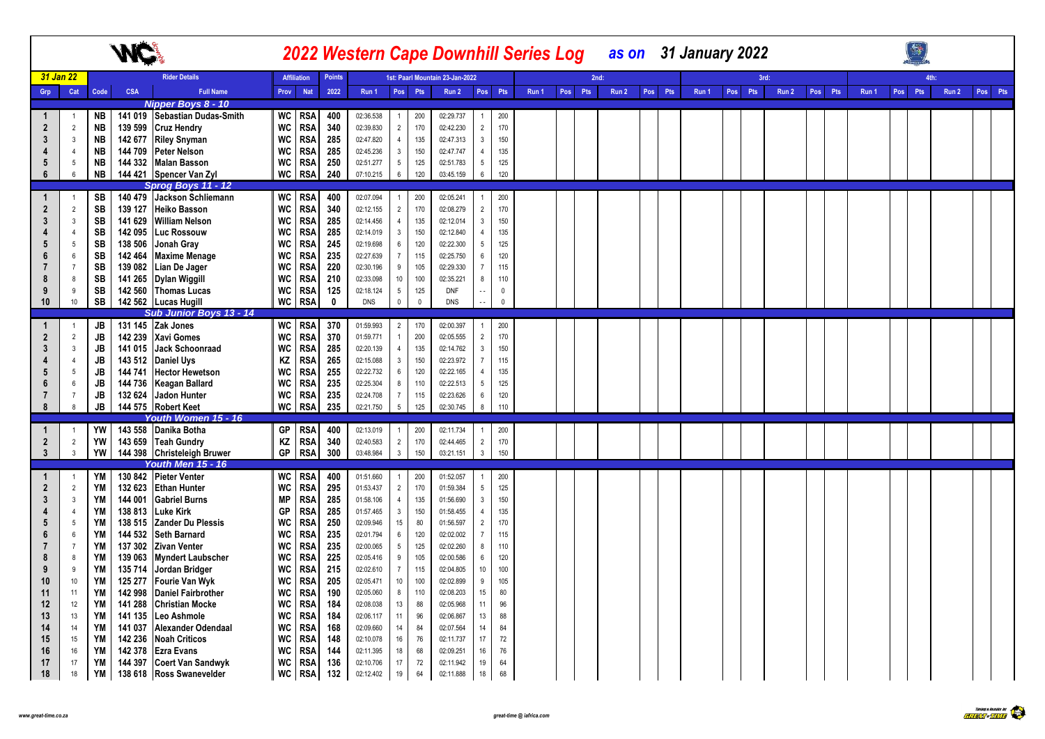|                         |                                  |           | <b>ML</b>          |                                                  |                 |                          |               |                        |                                   |              | <b>2022 Western Cape Downhill Series Log</b> |                                   |                     |       |     |      |       |         | as on 31 January 2022 |         |      |       |         |       |         |       |         |
|-------------------------|----------------------------------|-----------|--------------------|--------------------------------------------------|-----------------|--------------------------|---------------|------------------------|-----------------------------------|--------------|----------------------------------------------|-----------------------------------|---------------------|-------|-----|------|-------|---------|-----------------------|---------|------|-------|---------|-------|---------|-------|---------|
|                         | 31 Jan 22                        |           |                    | <b>Rider Details</b>                             |                 | <b>Affiliation</b>       | <b>Points</b> |                        |                                   |              | 1st: Paarl Mountain 23-Jan-2022              |                                   |                     |       |     | 2nd: |       |         |                       |         | 3rd: |       |         |       | 4th:    |       |         |
| Grp                     | Cat                              | Code      | <b>CSA</b>         | <b>Full Name</b>                                 | Prov            | Nat                      | 2022          | Run 1                  | Pos Pts                           |              | Run 2                                        | Pos Pts                           |                     | Run 1 | Pos | Pts  | Run 2 | Pos Pts | Run 1                 | Pos Pts |      | Run 2 | Pos Pts | Run 1 | Pos Pts | Run 2 | Pos Pts |
|                         |                                  |           |                    | Nipper Boys 8 - 10                               |                 |                          |               |                        |                                   |              |                                              |                                   |                     |       |     |      |       |         |                       |         |      |       |         |       |         |       |         |
| 1                       | $\overline{1}$                   | NB        |                    | 141 019 Sebastian Dudas-Smith                    | WC              | <b>RSA</b>               | 400           | 02:36.538              | $\mathbf{1}$                      | 200          | 02:29.737                                    | $\mathbf{1}$                      | 200                 |       |     |      |       |         |                       |         |      |       |         |       |         |       |         |
| $\overline{2}$          | $\overline{2}$                   | <b>NB</b> | 139 599            | <b>Cruz Hendry</b>                               | WC              | <b>RSA</b>               | 340           | 02:39.830              | $\overline{2}$                    | 170          | 02:42.230                                    | $\overline{2}$                    | 170                 |       |     |      |       |         |                       |         |      |       |         |       |         |       |         |
| 3                       | $\overline{3}$                   | <b>NB</b> | 142 677            | <b>Riley Snyman</b>                              | WC              | <b>RSA</b>               | 285           | 02:47.820              | $\overline{4}$                    | 135          | 02:47.313                                    | $\mathbf{3}$                      | 150                 |       |     |      |       |         |                       |         |      |       |         |       |         |       |         |
| 4                       | $\overline{4}$                   | <b>NB</b> | 144 709            | Peter Nelson                                     | WC              | <b>RSA</b>               | 285           | 02:45.236              | $3\overline{3}$                   | 150          | 02:47.747                                    | $\overline{4}$                    | 135                 |       |     |      |       |         |                       |         |      |       |         |       |         |       |         |
| $5\phantom{.0}$         | 5                                | <b>NB</b> | 144 332            | <b>Malan Basson</b>                              | WC              | <b>RSA</b>               | 250           | 02:51.277              | $5\phantom{.0}$                   | 125          | 02:51.783                                    | $5\phantom{.0}$                   | 125                 |       |     |      |       |         |                       |         |      |       |         |       |         |       |         |
| 6                       | 6                                | <b>NB</b> |                    | 144 421 Spencer Van Zyl                          | WC              | <b>RSA</b>               | 240           | 07:10.215              | $6\overline{6}$                   | 120          | 03:45.159                                    | $6\phantom{a}$                    | 120                 |       |     |      |       |         |                       |         |      |       |         |       |         |       |         |
|                         |                                  |           |                    | Sprog Boys 11 - 12                               |                 |                          |               |                        |                                   |              |                                              |                                   |                     |       |     |      |       |         |                       |         |      |       |         |       |         |       |         |
|                         | $\overline{1}$                   | SB        |                    | 140 479 Jackson Schliemann                       |                 | WC RSA                   | 400           | 02:07.094              | 1                                 | 200          | 02:05.241                                    | $\mathbf{1}$                      | 200                 |       |     |      |       |         |                       |         |      |       |         |       |         |       |         |
| $\overline{2}$          | $\overline{2}$                   | SB        | 139 127            | <b>Heiko Basson</b>                              | WC              | <b>RSA</b>               | 340           | 02:12.155              | $\overline{2}$                    | 170          | 02:08.279                                    | $\overline{2}$                    | 170                 |       |     |      |       |         |                       |         |      |       |         |       |         |       |         |
| 3<br>4                  | $\overline{3}$<br>$\overline{4}$ | SB        | 141 629            | <b>William Nelson</b>                            | <b>WC</b>       | <b>RSA</b>               | 285           | 02:14.456              | 4                                 | 135          | 02:12.014                                    | $\mathbf{3}$                      | 150<br>135          |       |     |      |       |         |                       |         |      |       |         |       |         |       |         |
| 5                       | 5                                | SB<br>SB  | 142 095<br>138 506 | Luc Rossouw<br>Jonah Gray                        | WC<br><b>WC</b> | <b>RSA</b><br><b>RSA</b> | 285<br>245    | 02:14.019              | $\mathbf{3}$                      | 150<br>120   | 02:12.840<br>02:22.300                       | $\overline{4}$<br>$5\overline{)}$ | 125                 |       |     |      |       |         |                       |         |      |       |         |       |         |       |         |
| 6                       | 6                                | SB        | 142 464            | <b>Maxime Menage</b>                             | WC              | <b>RSA</b>               | 235           | 02:19.698<br>02:27.639 | $6\overline{6}$<br>$\overline{7}$ | 115          | 02:25.750                                    | $6\phantom{.0}$                   | 120                 |       |     |      |       |         |                       |         |      |       |         |       |         |       |         |
| $\overline{7}$          | $\overline{7}$                   | SB        | 139 082            | Lian De Jager                                    | WC              | <b>RSA</b>               | 220           | 02:30.196              | 9                                 | 105          | 02:29.330                                    | $\overline{7}$                    | 115                 |       |     |      |       |         |                       |         |      |       |         |       |         |       |         |
| 8                       | 8                                | SB        |                    | 141 265 Dylan Wiggill                            | WC              | <b>RSA</b>               | 210           | 02:33.098              | 10                                | 100          | 02:35.221                                    | 8                                 | 110                 |       |     |      |       |         |                       |         |      |       |         |       |         |       |         |
| 9                       | 9                                | SB        | 142 560            | <b>Thomas Lucas</b>                              | WC              | <b>RSA</b>               | 125           | 02:18.124              | $5\phantom{.0}$                   | 125          | <b>DNF</b>                                   | $\sim$ $-$                        | $\mathsf{O}\xspace$ |       |     |      |       |         |                       |         |      |       |         |       |         |       |         |
| 10                      | $10$                             | SB        |                    | 142 562 Lucas Hugill                             | WC              | <b>RSA</b>               | 0             | DNS                    | $\mathsf 0$                       | $\mathbf{0}$ | DNS                                          | L.                                | $\mathbf 0$         |       |     |      |       |         |                       |         |      |       |         |       |         |       |         |
|                         |                                  |           |                    | Sub Junior Boys 13 - 14                          |                 |                          |               |                        |                                   |              |                                              |                                   |                     |       |     |      |       |         |                       |         |      |       |         |       |         |       |         |
| 1                       | $\overline{1}$                   | JB        |                    | 131 145 Zak Jones                                | WC              | <b>RSA</b>               | 370           | 01:59.993              | 2                                 | 170          | 02:00.397                                    | $\mathbf{1}$                      | 200                 |       |     |      |       |         |                       |         |      |       |         |       |         |       |         |
| $\overline{2}$          | $\overline{2}$                   | JB        | 142 239            | <b>Xavi Gomes</b>                                | WC              | <b>RSA</b>               | 370           | 01:59.771              | $\overline{1}$                    | 200          | 02:05.555                                    | $\overline{2}$                    | 170                 |       |     |      |       |         |                       |         |      |       |         |       |         |       |         |
| 3                       | $\mathbf{3}$                     | <b>JB</b> | 141 015            | Jack Schoonraad                                  | WC              | <b>RSA</b>               | 285           | 02:20.139              | 4                                 | 135          | 02:14.762                                    | $\mathbf{3}$                      | 150                 |       |     |      |       |         |                       |         |      |       |         |       |         |       |         |
| 4                       | $\overline{4}$                   | JB        | 143 512            | <b>Daniel Uys</b>                                | ΚZ              | <b>RSA</b>               | 265           | 02:15.088              | $\mathbf{3}$                      | 150          | 02:23.972                                    | $\overline{7}$                    | 115                 |       |     |      |       |         |                       |         |      |       |         |       |         |       |         |
| 5                       | 5                                | <b>JB</b> | 144 741            | <b>Hector Hewetson</b>                           | WC              | <b>RSA</b>               | 255           | 02:22.732              | $6\overline{6}$                   | 120          | 02:22.165                                    | $\overline{4}$                    | 135                 |       |     |      |       |         |                       |         |      |       |         |       |         |       |         |
| 6                       | 6                                | <b>JB</b> | 144 736            | <b>Keagan Ballard</b>                            | WC              | <b>RSA</b>               | 235           | 02:25.304              | 8                                 | 110          | 02:22.513                                    | $5\overline{)}$                   | 125                 |       |     |      |       |         |                       |         |      |       |         |       |         |       |         |
| $\overline{7}$          | $\overline{7}$                   | JB        | 132 624            | Jadon Hunter                                     | WC              | <b>RSA</b>               | 235           | 02:24.708              | $\overline{7}$                    | 115          | 02:23.626                                    | $6\phantom{.0}$                   | 120                 |       |     |      |       |         |                       |         |      |       |         |       |         |       |         |
| 8                       | 8                                | <b>JB</b> |                    | 144 575 Robert Keet                              |                 | WC RSA                   | 235           | 02:21.750              | 5 <sub>5</sub>                    | 125          | 02:30.745                                    | 8                                 | 110                 |       |     |      |       |         |                       |         |      |       |         |       |         |       |         |
|                         |                                  |           |                    | Youth Women 15 - 16                              |                 |                          |               |                        |                                   |              |                                              |                                   |                     |       |     |      |       |         |                       |         |      |       |         |       |         |       |         |
|                         | $\overline{1}$                   | YW        |                    | 143 558 Danika Botha                             | GP              | <b>RSA</b>               | 400           | 02:13.019              | 1                                 | 200<br>170   | 02:11.734                                    | $\mathbf{1}$                      | 200<br>170          |       |     |      |       |         |                       |         |      |       |         |       |         |       |         |
| $\overline{\mathbf{2}}$ | $\overline{2}$<br>$\overline{3}$ | YW<br>YW  | 143 659            | Teah Gundry                                      | ΚZ<br>GP        | <b>RSA</b><br><b>RSA</b> | 340<br>300    | 02:40.583<br>03:48.984 | $2^{\circ}$<br>3 <sup>1</sup>     | 150          | 02:44.465<br>03:21.151                       | $\overline{2}$<br>$\mathbf{3}$    | 150                 |       |     |      |       |         |                       |         |      |       |         |       |         |       |         |
| 3                       |                                  |           |                    | 144 398 Christeleigh Bruwer<br>Youth Men 15 - 16 |                 |                          |               |                        |                                   |              |                                              |                                   |                     |       |     |      |       |         |                       |         |      |       |         |       |         |       |         |
| $\mathbf 1$             |                                  | YM        |                    | 130 842 Pieter Venter                            |                 | WC RSA                   | 400           | 01:51.660              | $\mathbf{1}$                      | 200          | 01:52.057                                    | $\mathbf{1}$                      | 200                 |       |     |      |       |         |                       |         |      |       |         |       |         |       |         |
| $\mathbf{2}$            | $\overline{2}$                   | YM        | 132 623            | <b>Ethan Hunter</b>                              | WC              | <b>RSA</b>               | 295           | 01:53.437              | $\overline{2}$                    | 170          | 01:59.384                                    | 5 <sup>5</sup>                    | 125                 |       |     |      |       |         |                       |         |      |       |         |       |         |       |         |
| 3                       | $\overline{3}$                   | YM        | 144 001            | <b>Gabriel Burns</b>                             | <b>MP</b>       | <b>RSA</b>               | 285           | 01:58.106              | $\overline{4}$                    | 135          | 01:56.690                                    | $\mathbf{3}$                      | 150                 |       |     |      |       |         |                       |         |      |       |         |       |         |       |         |
|                         | $\overline{4}$                   | <b>YM</b> | 138 813            | <b>Luke Kirk</b>                                 | GP              | <b>RSA</b>               | 285           | 01:57.465              | $\mathbf{3}$                      | 150          | 01:58.455                                    | $\overline{4}$                    | 135                 |       |     |      |       |         |                       |         |      |       |         |       |         |       |         |
| 5                       | 5                                | YM        | 138 515            | <b>Zander Du Plessis</b>                         | WC              | <b>RSA</b>               | 250           | 02:09.946              | $15\,$                            | 80           | 01:56.597                                    | $\overline{2}$                    | 170                 |       |     |      |       |         |                       |         |      |       |         |       |         |       |         |
| 6                       | 6                                | <b>YM</b> | 144 532            | <b>Seth Barnard</b>                              | WC              | <b>RSA</b>               | 235           | 02:01.794              | $6\overline{6}$                   | 120          | 02:02.002                                    | $\overline{7}$                    | 115                 |       |     |      |       |         |                       |         |      |       |         |       |         |       |         |
|                         | $\overline{7}$                   | YM        | 137 302            | <b>Zivan Venter</b>                              | <b>WC</b>       | <b>RSA</b>               | 235           | 02:00.065              | $5\overline{)}$                   | 125          | 02:02.260                                    | 8                                 | 110                 |       |     |      |       |         |                       |         |      |       |         |       |         |       |         |
| 8                       | 8                                | YM        | 139 063            | <b>Myndert Laubscher</b>                         | WC              | <b>RSA</b>               | 225           | 02:05.416              | 9                                 | 105          | 02:00.586                                    | $6\overline{6}$                   | 120                 |       |     |      |       |         |                       |         |      |       |         |       |         |       |         |
| 9                       | $\overline{9}$                   | YM        | 135 714            | Jordan Bridger                                   | <b>WC</b>       | <b>RSA</b>               | 215           | 02:02.610              | $\overline{7}$                    | 115          | 02:04.805                                    | $10$                              | 100                 |       |     |      |       |         |                       |         |      |       |         |       |         |       |         |
| 10                      | $10$                             | YM        | 125 277            | Fourie Van Wyk                                   | WC              | <b>RSA</b>               | 205           | 02:05.471              | 10                                | 100          | 02:02.899                                    | 9                                 | 105                 |       |     |      |       |         |                       |         |      |       |         |       |         |       |         |
| 11                      | 11                               | YM        | 142 998            | <b>Daniel Fairbrother</b>                        | WC              | <b>RSA</b>               | 190           | 02:05.060              | 8                                 | 110          | 02:08.203                                    | 15                                | 80                  |       |     |      |       |         |                       |         |      |       |         |       |         |       |         |
| 12                      | 12                               | YM        | 141 288            | <b>Christian Mocke</b>                           | WC              | <b>RSA</b>               | 184           | 02:08.038              | 13                                | 88           | 02:05.968                                    | 11                                | 96                  |       |     |      |       |         |                       |         |      |       |         |       |         |       |         |
| 13                      | 13                               | YM        | 141 135            | Leo Ashmole                                      | WC              | <b>RSA</b>               | 184           | 02:06.117              | 11                                | 96           | 02:06.867                                    | 13                                | 88                  |       |     |      |       |         |                       |         |      |       |         |       |         |       |         |
| 14                      | 14                               | YM        | 141 037            | <b>Alexander Odendaal</b>                        | WC              | <b>RSA</b>               | 168           | 02:09.660              | 14                                | 84           | 02:07.564                                    | 14                                | 84                  |       |     |      |       |         |                       |         |      |       |         |       |         |       |         |
| 15                      | 15<br>16                         | YM<br>ΥM  | 142 236<br>142 378 | <b>Noah Criticos</b><br><b>Ezra Evans</b>        | WC<br>WC        | <b>RSA</b><br><b>RSA</b> | 148<br>144    | 02:10.078<br>02:11.395 | 16<br>18                          | 76<br>68     | 02:11.737                                    | 17                                | 72<br>76            |       |     |      |       |         |                       |         |      |       |         |       |         |       |         |
| 16<br>17                | 17                               | YM        |                    | 144 397 Coert Van Sandwyk                        | WC              | <b>RSA</b>               | 136           | 02:10.706              | 17                                | 72           | 02:09.251<br>02:11.942                       | 16<br>19                          | 64                  |       |     |      |       |         |                       |         |      |       |         |       |         |       |         |
| 18                      | 18                               | YM        |                    | 138 618 Ross Swanevelder                         | WC              | <b>RSA</b>               | 132           | 02:12.402              | 19                                | 64           | 02:11.888                                    | 18                                | 68                  |       |     |      |       |         |                       |         |      |       |         |       |         |       |         |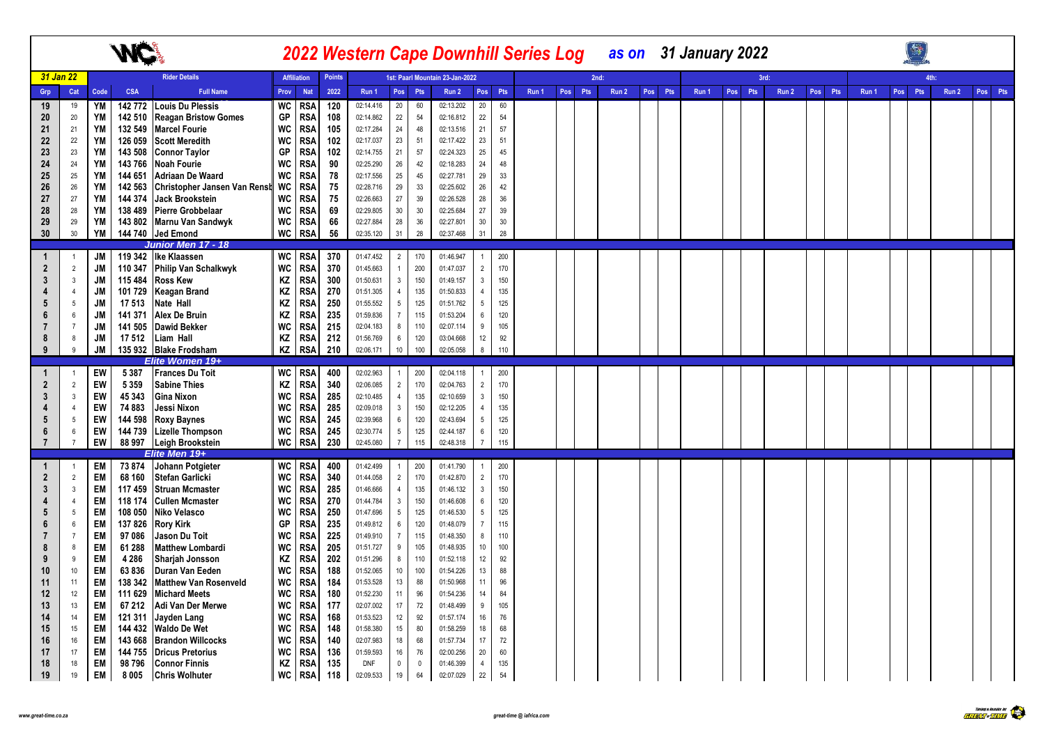|                |                |                   |           |            |                                           |           |                    |               |            |                  |             |                                 |                 |         |       |         |       |         | 2022 Western Cape Downhill Series Log as on 31 January 2022 |            |       |         |       |         |       |         |
|----------------|----------------|-------------------|-----------|------------|-------------------------------------------|-----------|--------------------|---------------|------------|------------------|-------------|---------------------------------|-----------------|---------|-------|---------|-------|---------|-------------------------------------------------------------|------------|-------|---------|-------|---------|-------|---------|
|                | 31 Jan 22      |                   |           |            | <b>Rider Details</b>                      |           | <b>Affiliation</b> | <b>Points</b> |            |                  |             | 1st: Paarl Mountain 23-Jan-2022 |                 |         |       |         | 2nd:  |         |                                                             |            | 3rd:  |         |       |         | 4th:  |         |
| Grp            |                | Cat               | Code      | <b>CSA</b> | <b>Full Name</b>                          | Prov      | <b>Nat</b>         | 2022          | Run 1      |                  | Pos Pts     | Run 2                           |                 | Pos Pts | Run 1 | Pos Pts | Run 2 | Pos Pts | Run 1                                                       | Pos<br>Pts | Run 2 | Pos Pts | Run 1 | Pos Pts | Run 2 | Pos Pts |
|                | 19             | 19                | YM        | 142772     | Louis Du Plessis                          | WC        | <b>RSA</b>         | 120           | 02:14.416  | 20               | 60          | 02:13.202                       | 20              | 60      |       |         |       |         |                                                             |            |       |         |       |         |       |         |
|                | 20             | 20                | YM        | 142 510    | <b>Reagan Bristow Gomes</b>               | GP        | <b>RSA</b>         | 108           | 02:14.862  | 22               | $54\,$      | 02:16.812                       | 22              | 54      |       |         |       |         |                                                             |            |       |         |       |         |       |         |
| 21             |                | 21                | YM        | 132 549    | <b>Marcel Fourie</b>                      | WC        | <b>RSA</b>         | 105           | 02:17.284  | 24               | 48          | 02:13.516                       | 21              | 57      |       |         |       |         |                                                             |            |       |         |       |         |       |         |
|                | 22             | 22                | YM        | 126 059    | <b>Scott Meredith</b>                     | WC        | <b>RSA</b>         | 102           | 02:17.037  | 23               | 51          | 02:17.422                       | 23              | 51      |       |         |       |         |                                                             |            |       |         |       |         |       |         |
|                | 23             | 23                | YM        | 143 508    | <b>Connor Taylor</b>                      | GP        | <b>RSA</b>         | 102           | 02:14.755  | 21               | 57          | 02:24.323                       | 25              | 45      |       |         |       |         |                                                             |            |       |         |       |         |       |         |
|                | 24             | 24                | <b>YM</b> | 143766     | <b>Noah Fourie</b>                        | <b>WC</b> | <b>RSA</b>         | 90            | 02:25.290  | 26               | 42          | 02:18.283                       | 24              | 48      |       |         |       |         |                                                             |            |       |         |       |         |       |         |
|                | 25             | 25                | YM        | 144 651    | Adriaan De Waard                          | <b>WC</b> | <b>RSA</b>         | 78            | 02:17.556  | 25               | 45          | 02:27.781                       | 29              | 33      |       |         |       |         |                                                             |            |       |         |       |         |       |         |
|                | 26             | 26                | <b>YM</b> | 142 563    | Christopher Jansen Van Renst WC           |           | <b>RSA</b>         | 75            | 02:28.716  | 29               | 33          | 02:25.602                       | 26              | 42      |       |         |       |         |                                                             |            |       |         |       |         |       |         |
|                | 27             | 27                | YM        | 144 374    | Jack Brookstein                           | WC        | <b>RSA</b>         | 75            | 02:26.663  | 27               | 39          | 02:26.528                       | 28              | 36      |       |         |       |         |                                                             |            |       |         |       |         |       |         |
|                | 28             | 28                | YM        | 138 489    | <b>Pierre Grobbelaar</b>                  | WC        | <b>RSA</b>         | 69            | 02:29.805  | 30 <sup>°</sup>  | $30\,$      | 02:25.684                       | 27              | 39      |       |         |       |         |                                                             |            |       |         |       |         |       |         |
|                | 29             | 29                | YM        |            | 143 802 Marnu Van Sandwyk                 | WC        | <b>RSA</b>         | 66            | 02:27.884  | 28               | 36          | 02:27.801                       | 30              | 30      |       |         |       |         |                                                             |            |       |         |       |         |       |         |
|                | 30             | $30\,$            | YM        |            | 144 740 Jed Emond                         | WC        | <b>RSA</b>         | 56            | 02:35.120  | 31               | $28\,$      | 02:37.468                       | 31              | 28      |       |         |       |         |                                                             |            |       |         |       |         |       |         |
|                |                |                   |           |            | Junior Men 17 - 18                        |           |                    |               |            |                  |             |                                 |                 |         |       |         |       |         |                                                             |            |       |         |       |         |       |         |
| $\mathbf 1$    |                | $\overline{1}$    | <b>JM</b> |            | 119 342 Ike Klaassen                      | WC        | <b>RSA</b>         | 370           | 01:47.452  | $\overline{2}$   | 170         | 01:46.947                       | $\overline{1}$  | 200     |       |         |       |         |                                                             |            |       |         |       |         |       |         |
|                | $\overline{2}$ | $\overline{2}$    | <b>JM</b> | 110 347    | <b>Philip Van Schalkwyk</b>               | WC        | <b>RSA</b>         | 370           | 01:45.663  | $\overline{1}$   | 200         | 01:47.037                       | $\overline{2}$  | 170     |       |         |       |         |                                                             |            |       |         |       |         |       |         |
| 3              |                | $\mathbf{3}$      | JM        | 115 484    | <b>Ross Kew</b>                           | ΚZ        | <b>RSA</b>         | 300           | 01:50.631  | $\mathbf{3}$     | 150         | 01:49.157                       | $\mathbf{3}$    | 150     |       |         |       |         |                                                             |            |       |         |       |         |       |         |
|                |                | $\overline{4}$    | JM        | 101 729    | <b>Keagan Brand</b>                       | ΚZ        | <b>RSA</b>         | 270           | 01:51.305  | $\overline{4}$   | 135         | 01:50.833                       | $\overline{4}$  | 135     |       |         |       |         |                                                             |            |       |         |       |         |       |         |
| 5              |                | 5                 | JM        | 17 513     | Nate Hall                                 | ΚZ        | <b>RSA</b>         | 250           | 01:55.552  | $5\phantom{.0}$  | 125         | 01:51.762                       | $5\phantom{.0}$ | 125     |       |         |       |         |                                                             |            |       |         |       |         |       |         |
|                | 6              | 6                 | JM        | 141 371    | <b>Alex De Bruin</b>                      | KZ        | <b>RSA</b>         | 235           | 01:59.836  | $\overline{7}$   | 115         | 01:53.204                       | $6\overline{6}$ | 120     |       |         |       |         |                                                             |            |       |         |       |         |       |         |
|                |                | $\overline{7}$    | JM        | 141 505    | <b>Dawid Bekker</b>                       | <b>WC</b> | <b>RSA</b>         | 215           | 02:04.183  | 8                | 110         | 02:07.114                       | 9               | 105     |       |         |       |         |                                                             |            |       |         |       |         |       |         |
| 8              |                | 8<br>$\mathbf{q}$ | JM        | 17 512     | Liam Hall                                 | KZ        | <b>RSA</b>         | 212           | 01:56.769  | $\,6\,$          | 120         | 03:04.668                       | 12              | 92      |       |         |       |         |                                                             |            |       |         |       |         |       |         |
| 9              |                |                   | <b>JM</b> |            | 135 932 Blake Frodsham<br>Elite Women 19+ | KZ        | <b>RSA</b>         | 210           | 02:06.171  | $10-10$          | 100         | 02:05.058                       | 8               | 110     |       |         |       |         |                                                             |            |       |         |       |         |       |         |
| -1             |                | $\overline{1}$    | EW        | 5 3 8 7    | <b>Frances Du Toit</b>                    |           | WC RSA             | 400           | 02:02.963  | $\overline{1}$   | 200         | 02:04.118                       | $\overline{1}$  | 200     |       |         |       |         |                                                             |            |       |         |       |         |       |         |
|                | $\mathbf{2}$   | $\overline{2}$    | EW        | 5 3 5 9    | <b>Sabine Thies</b>                       | ΚZ        | <b>RSA</b>         | 340           | 02:06.085  | $\overline{2}$   | 170         | 02:04.763                       | $\overline{2}$  | 170     |       |         |       |         |                                                             |            |       |         |       |         |       |         |
| 3              |                | $\mathbf{3}$      | EW        | 45 343     | <b>Gina Nixon</b>                         | WC        | <b>RSA</b>         | 285           | 02:10.485  | $\overline{4}$   | 135         | 02:10.659                       | $\mathbf{3}$    | 150     |       |         |       |         |                                                             |            |       |         |       |         |       |         |
|                |                | $\overline{4}$    | EW        | 74 883     | Jessi Nixon                               | WC        | <b>RSA</b>         | 285           | 02:09.018  | $\mathbf{3}$     | 150         | 02:12.205                       | $\overline{4}$  | 135     |       |         |       |         |                                                             |            |       |         |       |         |       |         |
| 5              |                | 5                 | EW        | 144 598    | <b>Roxy Baynes</b>                        | WC        | <b>RSA</b>         | 245           | 02:39.968  | $\,6\,$          | 120         | 02:43.694                       | $5\overline{)}$ | 125     |       |         |       |         |                                                             |            |       |         |       |         |       |         |
| 6              |                | 6                 | EW        | 144 739    | <b>Lizelle Thompson</b>                   | WC        | <b>RSA</b>         | 245           | 02:30.774  | $\sqrt{5}$       | 125         | 02:44.187                       | $6\phantom{.0}$ | 120     |       |         |       |         |                                                             |            |       |         |       |         |       |         |
| $\overline{7}$ |                | $\overline{7}$    | EW        | 88 997     | Leigh Brookstein                          | <b>WC</b> | <b>RSA</b>         | 230           | 02:45.080  | $\overline{7}$   | 115         | 02:48.318                       | $\overline{7}$  | 115     |       |         |       |         |                                                             |            |       |         |       |         |       |         |
|                |                |                   |           |            | Elite Men 19+                             |           |                    |               |            |                  |             |                                 |                 |         |       |         |       |         |                                                             |            |       |         |       |         |       |         |
| -1             |                | $\overline{1}$    | EM        | 73874      | Johann Potgieter                          | WC        | <b>RSA</b>         | 400           | 01:42.499  | $\overline{1}$   | 200         | 01:41.790                       | $\overline{1}$  | 200     |       |         |       |         |                                                             |            |       |         |       |         |       |         |
| $\overline{2}$ |                | $\overline{2}$    | <b>EM</b> | 68 160     | <b>Stefan Garlicki</b>                    | WC        | <b>RSA</b>         | 340           | 01:44.058  | $\overline{2}$   | 170         | 01:42.870                       | $\overline{2}$  | 170     |       |         |       |         |                                                             |            |       |         |       |         |       |         |
| 3              |                | $\mathbf{3}$      | EM        | 117 459    | <b>Struan Mcmaster</b>                    | <b>WC</b> | <b>RSA</b>         | 285           | 01:46.666  | $\overline{4}$   | 135         | 01:46.132                       | $\mathbf{3}$    | 150     |       |         |       |         |                                                             |            |       |         |       |         |       |         |
|                |                | $\overline{4}$    | EM        | 118 174    | <b>Cullen Mcmaster</b>                    | WC        | <b>RSA</b>         | 270           | 01:44.784  | $\mathbf{3}$     | 150         | 01:46.608                       | $6\overline{6}$ | 120     |       |         |       |         |                                                             |            |       |         |       |         |       |         |
|                |                | 5                 | <b>EM</b> | 108 050    | Niko Velasco                              | <b>WC</b> | <b>RSA</b>         | 250           | 01:47.696  | $\sqrt{5}$       | 125         | 01:46.530                       | $5\phantom{.0}$ | 125     |       |         |       |         |                                                             |            |       |         |       |         |       |         |
| 6              |                | $6\phantom{1}6$   | EM        | 137826     | <b>Rory Kirk</b>                          | GP        | <b>RSA</b>         | 235           | 01:49.812  | $6\phantom{.0}$  | 120         | 01:48.079                       | $\overline{7}$  | 115     |       |         |       |         |                                                             |            |       |         |       |         |       |         |
|                |                | $\overline{7}$    | EM        | 97 086     | Jason Du Toit                             | WC        | <b>RSA</b>         | 225           | 01:49.910  | $\overline{7}$   | 115         | 01:48.350                       | 8               | 110     |       |         |       |         |                                                             |            |       |         |       |         |       |         |
|                |                | 8                 | EM        | 61 288     | <b>Matthew Lombardi</b>                   | WC        | <b>RSA</b>         | 205           | 01:51.727  | 9                | 105         | 01:48.935                       | 10              | 100     |       |         |       |         |                                                             |            |       |         |       |         |       |         |
| 9              |                | 9                 | <b>EM</b> | 4 2 8 6    | Sharjah Jonsson                           | ΚZ        | <b>RSA</b>         | 202           | 01:51.296  | $8\phantom{1}$   | 110         | 01:52.118                       | 12              | 92      |       |         |       |         |                                                             |            |       |         |       |         |       |         |
|                | 10             | $10$              | EM        | 63836      | Duran Van Eeden                           | <b>WC</b> | <b>RSA</b>         | 188           | 01:52.065  | 10               | 100         | 01:54.226                       | 13              | 88      |       |         |       |         |                                                             |            |       |         |       |         |       |         |
|                | 11             | 11                | EM        | 138 342    | <b>Matthew Van Rosenveld</b>              | WC        | <b>RSA</b>         | 184           | 01:53.528  | 13               | 88          | 01:50.968                       | 11              | 96      |       |         |       |         |                                                             |            |       |         |       |         |       |         |
|                | 12             | 12                | EM        | 111 629    | <b>Michard Meets</b>                      | <b>WC</b> | <b>RSA</b>         | 180           | 01:52.230  | 11               | 96          | 01:54.236                       | 14              | 84      |       |         |       |         |                                                             |            |       |         |       |         |       |         |
|                | 13             | 13                | <b>EM</b> | 67 212     | Adi Van Der Merwe                         | WC        | <b>RSA</b>         | 177           | 02:07.002  | 17               | 72          | 01:48.499                       | 9               | 105     |       |         |       |         |                                                             |            |       |         |       |         |       |         |
|                | 14             | 14                | EM        | 121 311    | Jayden Lang                               | WC        | <b>RSA</b>         | 168           | 01:53.523  | 12               | 92          | 01:57.174                       | 16              | 76      |       |         |       |         |                                                             |            |       |         |       |         |       |         |
|                | 15             | 15                | EM        | 144 432    | <b>Waldo De Wet</b>                       | WC        | <b>RSA</b>         | 148           | 01:58.380  | 15 <sub>15</sub> | 80          | 01:58.259                       | 18              | 68      |       |         |       |         |                                                             |            |       |         |       |         |       |         |
|                | 16             | $16\,$            | EM        | 143 668    | <b>Brandon Willcocks</b>                  | WC        | <b>RSA</b>         | 140           | 02:07.983  | 18               | 68          | 01:57.734                       | 17              | 72      |       |         |       |         |                                                             |            |       |         |       |         |       |         |
|                | 17             | 17                | EM        | 144 755    | <b>Dricus Pretorius</b>                   | WC        | <b>RSA</b>         | 136           | 01:59.593  | 16               | 76          | 02:00.256                       | 20              | 60      |       |         |       |         |                                                             |            |       |         |       |         |       |         |
|                | 18             | 18                | EM        | 98796      | <b>Connor Finnis</b>                      | KZ        | <b>RSA</b>         | 135           | <b>DNF</b> | $\mathbb O$      | $\mathbf 0$ | 01:46.399                       | $\overline{4}$  | 135     |       |         |       |         |                                                             |            |       |         |       |         |       |         |
|                | 19             | 19                | EM        | 8 0 0 5    | <b>Chris Wolhuter</b>                     | WC        | <b>RSA</b>         | 118           | 02:09.533  | 19               | 64          | 02:07.029                       | 22              | 54      |       |         |       |         |                                                             |            |       |         |       |         |       |         |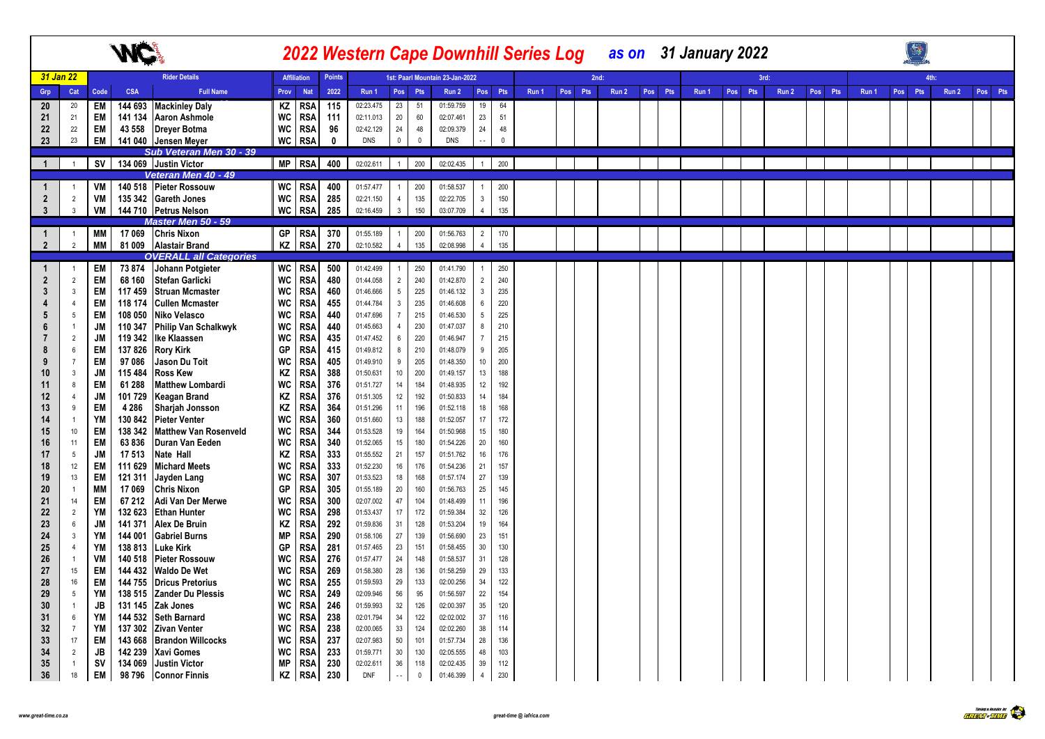|                      |                      |           |                    |                                                 |           |                          |               |                        |                     |             | <b>2022 Western Cape Downhill Series Log</b> |                 |              |       |         |      |       |         | as on 31 January 2022 |     |      |       |         |       |            |       |         |  |
|----------------------|----------------------|-----------|--------------------|-------------------------------------------------|-----------|--------------------------|---------------|------------------------|---------------------|-------------|----------------------------------------------|-----------------|--------------|-------|---------|------|-------|---------|-----------------------|-----|------|-------|---------|-------|------------|-------|---------|--|
|                      | 31 Jan 22            |           |                    | <b>Rider Details</b>                            |           | <b>Affiliation</b>       | <b>Points</b> |                        |                     |             | 1st: Paarl Mountain 23-Jan-2022              |                 |              |       |         | 2nd: |       |         |                       |     | 3rd: |       |         |       | <b>Ath</b> |       |         |  |
| Grp                  | Cat                  | Code      | <b>CSA</b>         | <b>Full Name</b>                                | Prov      | <b>Nat</b>               | 2022          | Run 1                  |                     | Pos Pts     | Run 2                                        | Pos Pts         |              | Run 1 | Pos Pts |      | Run 2 | Pos Pts | Run 1                 | Pos | Pts  | Run 2 | Pos Pts | Run 1 | Pos Pts    | Run 2 | Pos Pts |  |
| 20                   | 20                   | EM        | 144 693            | <b>Mackinley Daly</b>                           | ΚZ        | <b>RSA</b>               | 115           | 02:23.475              | 23                  | 51          | 01:59.759                                    | 19              | 64           |       |         |      |       |         |                       |     |      |       |         |       |            |       |         |  |
| 21                   | 21                   | EM        | 141 134            | <b>Aaron Ashmole</b>                            | WC        | <b>RSA</b>               | 111           | 02:11.013              | 20                  | 60          | 02:07.461                                    | 23              | 51           |       |         |      |       |         |                       |     |      |       |         |       |            |       |         |  |
| 22                   | 22                   | EM        | 43 558             | <b>Drever Botma</b>                             | WC        | <b>RSA</b>               | 96            | 02:42.129              | 24                  | 48          | 02:09.379                                    | 24              | 48           |       |         |      |       |         |                       |     |      |       |         |       |            |       |         |  |
| 23                   | 23                   | EM        |                    | 141 040 Jensen Meyer                            | WC        | <b>RSA</b>               | $\mathbf 0$   | <b>DNS</b>             | $\mathsf{O}\xspace$ | $\mathbb O$ | <b>DNS</b>                                   |                 | $\mathbf{0}$ |       |         |      |       |         |                       |     |      |       |         |       |            |       |         |  |
|                      |                      |           |                    | Sub Veteran Men 30 - 39                         |           |                          |               |                        |                     |             |                                              |                 |              |       |         |      |       |         |                       |     |      |       |         |       |            |       |         |  |
| $\mathbf{1}$         | $\overline{1}$       |           |                    | SV 34 069 Justin Victor                         |           | MP RSA                   | 400           | 02:02.611              |                     | 1 200       | 02:02.435                                    | $\overline{1}$  | 200          |       |         |      |       |         |                       |     |      |       |         |       |            |       |         |  |
|                      |                      |           |                    | Veteran Men 40 - 49                             |           |                          |               |                        |                     |             |                                              |                 |              |       |         |      |       |         |                       |     |      |       |         |       |            |       |         |  |
| $\mathbf{1}$         |                      | VM        |                    | 140 518 Pieter Rossouw                          | WC        | <b>RSA</b>               | 400           | 01:57.477              | $\overline{1}$      | 200         | 01:58.537                                    | $\overline{1}$  | 200          |       |         |      |       |         |                       |     |      |       |         |       |            |       |         |  |
| $\overline{2}$       | $\overline{2}$       | VM        |                    | 135 342 Gareth Jones                            | WC        | <b>RSA</b>               | 285           | 02:21.150              | $\overline{4}$      | 135         | 02:22.705                                    | $\mathbf{3}$    | 150          |       |         |      |       |         |                       |     |      |       |         |       |            |       |         |  |
| $\mathbf{3}$         | $\mathbf{3}$         | VM        |                    | 144 710 Petrus Nelson                           |           | $WC$ RSA                 | 285           | 02:16.459              | $\mathbf{3}$        | 150         | 03:07.709                                    | $\overline{4}$  | 135          |       |         |      |       |         |                       |     |      |       |         |       |            |       |         |  |
|                      | $\overline{1}$       | MМ        |                    | <b>Master Men 50 - 59</b><br>17 069 Chris Nixon |           | GP RSA                   | 370           | 01:55.189              | $\overline{1}$      | 200         | 01:56.763                                    | $\overline{2}$  | 170          |       |         |      |       |         |                       |     |      |       |         |       |            |       |         |  |
| -1<br>$\overline{2}$ | $\overline{2}$       | <b>MM</b> |                    | 81 009 Alastair Brand                           | KZ        | <b>RSA</b>               | 270           | 02:10.582              | $\overline{4}$      | 135         | 02:08.998                                    | $\overline{4}$  | 135          |       |         |      |       |         |                       |     |      |       |         |       |            |       |         |  |
|                      |                      |           |                    | <b>OVERALL all Categories</b>                   |           |                          |               |                        |                     |             |                                              |                 |              |       |         |      |       |         |                       |     |      |       |         |       |            |       |         |  |
|                      | $\overline{1}$       | EM        | 73 874             | Johann Potgieter                                |           | WC RSA                   | 500           | 01:42.499              | $\overline{1}$      | 250         | 01:41.790                                    | $\overline{1}$  | 250          |       |         |      |       |         |                       |     |      |       |         |       |            |       |         |  |
| $\overline{2}$       | $\overline{2}$       | EM        | 68 160             | <b>Stefan Garlicki</b>                          | WC        | <b>RSA</b>               | 480           | 01:44.058              | $\overline{2}$      | 240         | 01:42.870                                    | $\overline{2}$  | 240          |       |         |      |       |         |                       |     |      |       |         |       |            |       |         |  |
| 3                    | $\mathbf{3}$         | EM        | 117 459            | <b>Struan Mcmaster</b>                          | <b>WC</b> | <b>RSA</b>               | 460           | 01:46.666              | $5\phantom{.0}$     | 225         | 01:46.132                                    | $\mathbf{3}$    | 235          |       |         |      |       |         |                       |     |      |       |         |       |            |       |         |  |
|                      | $\overline{4}$       | EM        | 118 174            | <b>Cullen Mcmaster</b>                          | WC        | <b>RSA</b>               | 455           | 01:44.784              | $\mathbf{3}$        | 235         | 01:46.608                                    | $6\overline{6}$ | 220          |       |         |      |       |         |                       |     |      |       |         |       |            |       |         |  |
| 5                    | 5                    | EM        | 108 050            | Niko Velasco                                    | WC        | <b>RSA</b>               | 440           | 01:47.696              | $\overline{7}$      | 215         | 01:46.530                                    | $5\phantom{.0}$ | 225          |       |         |      |       |         |                       |     |      |       |         |       |            |       |         |  |
| 6                    | $\overline{1}$       | JM        | 110 347            | Philip Van Schalkwyk                            | WC        | <b>RSA</b>               | 440           | 01:45.663              | $\overline{4}$      | 230         | 01:47.037                                    | 8               | 210          |       |         |      |       |         |                       |     |      |       |         |       |            |       |         |  |
|                      | $\overline{2}$       | JM        | 119 342            | Ike Klaassen                                    | <b>WC</b> | <b>RSA</b>               | 435           | 01:47.452              | $6\phantom{.0}$     | 220         | 01:46.947                                    | $\overline{7}$  | 215          |       |         |      |       |         |                       |     |      |       |         |       |            |       |         |  |
| 8                    | 6                    | EM        | 137826             | <b>Rory Kirk</b>                                | GP        | <b>RSA</b>               | 415           | 01:49.812              | 8                   | 210         | 01:48.079                                    | 9               | 205          |       |         |      |       |         |                       |     |      |       |         |       |            |       |         |  |
| 9                    | $\overline{7}$       | EM        | 97 086             | Jason Du Toit                                   | WC        | <b>RSA</b>               | 405           | 01:49.910              | 9                   | 205         | 01:48.350                                    | 10              | 200          |       |         |      |       |         |                       |     |      |       |         |       |            |       |         |  |
| 10                   | $\mathbf{3}$         | JM        | 115 484            | <b>Ross Kew</b>                                 | KZ        | <b>RSA</b>               | 388           | 01:50.631              | 10                  | 200         | 01:49.157                                    | 13              | 188          |       |         |      |       |         |                       |     |      |       |         |       |            |       |         |  |
| 11                   | 8                    | EM        | 61 288             | <b>Matthew Lombardi</b>                         | <b>WC</b> | <b>RSA</b>               | 376           | 01:51.727              | 14                  | 184         | 01:48.935                                    | 12              | 192          |       |         |      |       |         |                       |     |      |       |         |       |            |       |         |  |
| 12                   | $\overline{4}$       | JM        | 101 729            | <b>Keagan Brand</b>                             | KZ        | <b>RSA</b>               | 376           | 01:51.305              | 12                  | 192         | 01:50.833                                    | 14              | 184          |       |         |      |       |         |                       |     |      |       |         |       |            |       |         |  |
| 13                   | 9                    | EM        | 4 2 8 6            | Sharjah Jonsson                                 | KZ        | <b>RSA</b>               | 364           | 01:51.296              | 11                  | 196         | 01:52.118                                    | 18              | 168          |       |         |      |       |         |                       |     |      |       |         |       |            |       |         |  |
| 14                   | $\overline{1}$       | YM        | 130 842            | <b>Pieter Venter</b>                            | <b>WC</b> | <b>RSA</b>               | 360           | 01:51.660              | 13                  | 188         | 01:52.057                                    | 17              | 172          |       |         |      |       |         |                       |     |      |       |         |       |            |       |         |  |
| 15                   | $10$                 | EM<br>EM  | 138 342<br>63836   | <b>Matthew Van Rosenveld</b><br>Duran Van Eeden | WC        | <b>RSA</b>               | 344<br>340    | 01:53.528              | 19<br>15            | 164         | 01:50.968                                    | 15              | 180          |       |         |      |       |         |                       |     |      |       |         |       |            |       |         |  |
| 16<br>17             | 11<br>5              | JM        | 17 513             | Nate Hall                                       | WC<br>ΚZ  | <b>RSA</b><br><b>RSA</b> | 333           | 01:52.065<br>01:55.552 | 21                  | 180<br>157  | 01:54.226<br>01:51.762                       | $20\,$<br>16    | 160<br>176   |       |         |      |       |         |                       |     |      |       |         |       |            |       |         |  |
| 18                   | 12                   | EM        | 111 629            | <b>Michard Meets</b>                            | <b>WC</b> | <b>RSA</b>               | 333           | 01:52.230              | 16                  | 176         | 01:54.236                                    | 21              | 157          |       |         |      |       |         |                       |     |      |       |         |       |            |       |         |  |
| 19                   | 13                   | EM        | 121 311            | Jayden Lang                                     | WC        | <b>RSA</b>               | 307           | 01:53.523              | 18                  | 168         | 01:57.174                                    | 27              | 139          |       |         |      |       |         |                       |     |      |       |         |       |            |       |         |  |
| 20                   | $\overline{1}$       | MМ        | 17 069             | <b>Chris Nixon</b>                              | GP        | <b>RSA</b>               | 305           | 01:55.189              | 20                  | 160         | 01:56.763                                    | 25              | 145          |       |         |      |       |         |                       |     |      |       |         |       |            |       |         |  |
| 21                   | 14                   | EM        | 67 212             | Adi Van Der Merwe                               | <b>WC</b> | <b>RSA</b>               | 300           | 02:07.002              | 47                  | 104         | 01:48.499                                    | 11              | 196          |       |         |      |       |         |                       |     |      |       |         |       |            |       |         |  |
| 22                   | $\overline{2}$       | YM        | 132 623            | <b>Ethan Hunter</b>                             | <b>WC</b> | <b>RSA</b>               | 298           | 01:53.437              | 17                  | 172         | 01:59.384                                    | 32              | 126          |       |         |      |       |         |                       |     |      |       |         |       |            |       |         |  |
| 23                   | 6                    | JM        | 141 371            | <b>Alex De Bruin</b>                            | ΚZ        | <b>RSA</b>               | 292           | 01:59.836              | 31                  | 128         | 01:53.204                                    | 19              | 164          |       |         |      |       |         |                       |     |      |       |         |       |            |       |         |  |
| 24                   | $\mathbf{3}$         | YM        | 144 001            | <b>Gabriel Burns</b>                            | МP        | <b>RSA</b>               | 290           | 01:58.106              | 27                  | 139         | 01:56.690                                    | 23              | 151          |       |         |      |       |         |                       |     |      |       |         |       |            |       |         |  |
| 25                   | $\overline{4}$       | YM        | 138 813            | Luke Kirk                                       | GP        | <b>RSA</b>               | 281           | 01:57.465              | 23                  | 151         | 01:58.455                                    | 30              | 130          |       |         |      |       |         |                       |     |      |       |         |       |            |       |         |  |
| 26                   | $\overline{1}$       | VM        | 140 518            | <b>Pieter Rossouw</b>                           | WC        | <b>RSA</b>               | 276           | 01:57.477              | 24                  | 148         | 01:58.537                                    | 31              | 128          |       |         |      |       |         |                       |     |      |       |         |       |            |       |         |  |
| 27                   | 15                   | EM        | 144 432            | <b>Waldo De Wet</b>                             | WC        | <b>RSA</b>               | 269           | 01:58.380              | 28                  | 136         | 01:58.259                                    | 29              | 133          |       |         |      |       |         |                       |     |      |       |         |       |            |       |         |  |
| 28                   | 16                   | EM        | 144 755            | <b>Dricus Pretorius</b>                         | WC        | <b>RSA</b>               | 255           | 01:59.593              | 29                  | 133         | 02:00.256                                    | 34              | 122          |       |         |      |       |         |                       |     |      |       |         |       |            |       |         |  |
| 29                   | 5                    | YM        | 138 515            | <b>Zander Du Plessis</b>                        | WC        | <b>RSA</b>               | 249           | 02:09.946              | 56                  | 95          | 01:56.597                                    | 22              | 154          |       |         |      |       |         |                       |     |      |       |         |       |            |       |         |  |
| 30                   | $\overline{1}$       | JB        | 131 145            | Zak Jones                                       | WC        | <b>RSA</b>               | 246           | 01:59.993              | 32                  | 126         | 02:00.397                                    | 35              | 120          |       |         |      |       |         |                       |     |      |       |         |       |            |       |         |  |
| 31                   | 6                    | YM        | 144 532            | <b>Seth Barnard</b>                             | WC        | <b>RSA</b>               | 238           | 02:01.794              | 34                  | 122         | 02:02.002                                    | 37              | 116          |       |         |      |       |         |                       |     |      |       |         |       |            |       |         |  |
| 32                   | $\overline{7}$<br>17 | YM        | 137 302            | <b>Zivan Venter</b>                             | WC        | <b>RSA</b>               | 238           | 02:00.065<br>02:07.983 | 33<br>50            | 124<br>101  | 02:02.260<br>01:57.734                       | 38<br>28        | 114<br>136   |       |         |      |       |         |                       |     |      |       |         |       |            |       |         |  |
| 33<br>34             | $\overline{2}$       | EM<br>JB  | 143 668<br>142 239 | <b>Brandon Willcocks</b><br>Xavi Gomes          | WC<br>WC  | <b>RSA</b><br>RSA        | 237<br>233    | 01:59.771              | 30                  | 130         | 02:05.555                                    | 48              | 103          |       |         |      |       |         |                       |     |      |       |         |       |            |       |         |  |
| 35                   | $\overline{1}$       | sv        | 134 069            | Justin Victor                                   | <b>MP</b> | <b>RSA</b>               | 230           | 02:02.611              | 36                  | 118         | 02:02.435                                    | 39              | 112          |       |         |      |       |         |                       |     |      |       |         |       |            |       |         |  |
| 36                   | 18                   | EM        | 98796              | <b>Connor Finnis</b>                            | KZ        | <b>RSA</b>               | 230           | <b>DNF</b>             | $\sim$ $\sim$       | $\mathbf 0$ | 01:46.399                                    | $\overline{4}$  | 230          |       |         |      |       |         |                       |     |      |       |         |       |            |       |         |  |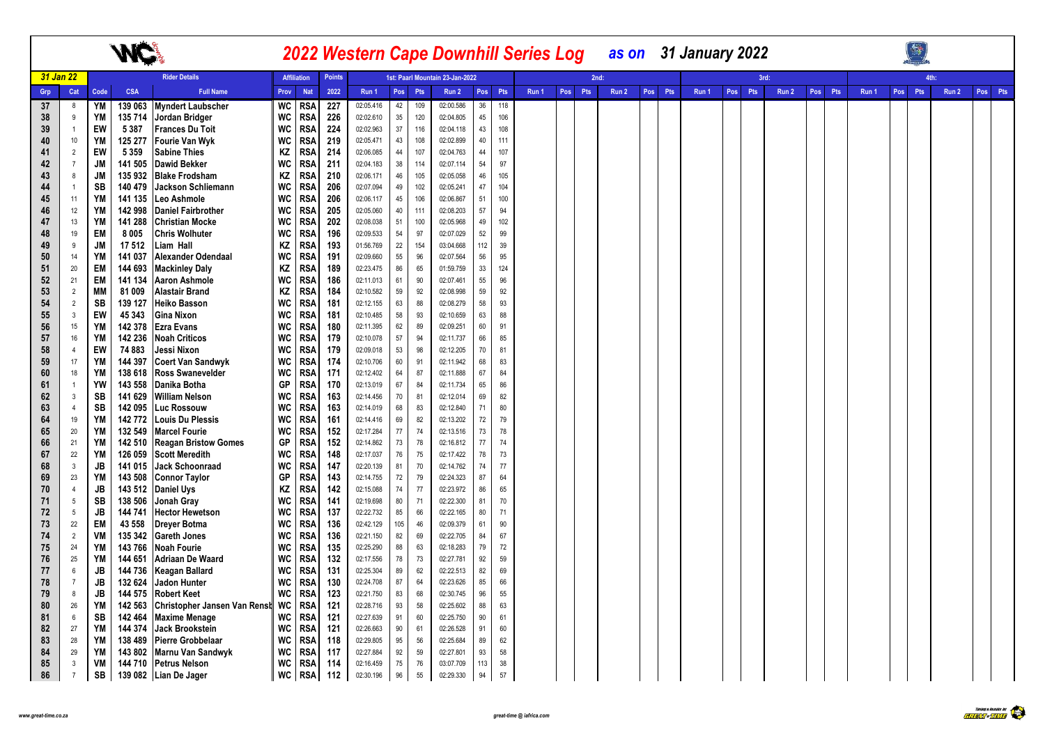|          |                       |                 |                    |                                                 |             |                          |               |                        |              |            |                                 |          |            | 2022 Western Cape Downhill Series Log |            | as on 31 January 2022 |         |       |            |       |         |       |                  |      |       |         |
|----------|-----------------------|-----------------|--------------------|-------------------------------------------------|-------------|--------------------------|---------------|------------------------|--------------|------------|---------------------------------|----------|------------|---------------------------------------|------------|-----------------------|---------|-------|------------|-------|---------|-------|------------------|------|-------|---------|
|          | 31 Jan 22             |                 |                    | <b>Rider Details</b>                            |             | <b>Affiliation</b>       | <b>Points</b> |                        |              |            | 1st: Paarl Mountain 23-Jan-2022 |          |            |                                       |            | 2nd:                  |         |       |            | 3rd:  |         |       |                  | 4th: |       |         |
| Grp      | Cat                   | Code            | CSA                | <b>Full Name</b>                                | <b>Prov</b> | <b>Nat</b>               | 2022          | Run 1                  | Pos          | Pts        | Run 2                           |          | Pos Pts    | Run 1                                 | Pos<br>Pts | Run 2                 | Pos Pts | Run 1 | Pos<br>Pts | Run 2 | Pos Pts | Run 1 | Pos <sup>1</sup> | Pts  | Run 2 | Pos Pts |
| 37       | 8                     | YM              | 139 063            | <b>Myndert Laubscher</b>                        | WC          | <b>RSA</b>               | 227           | 02:05.416              | 42           | 109        | 02:00.586                       | 36       | 118        |                                       |            |                       |         |       |            |       |         |       |                  |      |       |         |
| 38       | 9                     | YM              | 135 714            | Jordan Bridger                                  | WC          | <b>RSA</b>               | 226           | 02:02.610              | 35           | 120        | 02:04.805                       | 45       | 106        |                                       |            |                       |         |       |            |       |         |       |                  |      |       |         |
| 39       | $\mathbf{1}$          | EW              | 5387               | <b>Frances Du Toit</b>                          | WC          | <b>RSA</b>               | 224           | 02:02.963              | 37           | 116        | 02:04.118                       | 43       | 108        |                                       |            |                       |         |       |            |       |         |       |                  |      |       |         |
| 40       | $10$                  | YM              | 125 277            | <b>Fourie Van Wyk</b>                           | WC          | <b>RSA</b>               | 219           | 02:05.471              | 43           | 108        | 02:02.899                       | 40       | 111        |                                       |            |                       |         |       |            |       |         |       |                  |      |       |         |
| 41       | $\overline{2}$        | EW              | 5 3 5 9            | <b>Sabine Thies</b>                             | ΚZ          | RSA                      | 214           | 02:06.085              | 44           | 107        | 02:04.763                       | 44       | 107        |                                       |            |                       |         |       |            |       |         |       |                  |      |       |         |
| 42       | $\overline{7}$<br>8   | <b>JM</b>       | 141 505<br>135932  | <b>Dawid Bekker</b>                             | WC          | <b>RSA</b>               | 211           | 02:04.183              | $38\,$<br>46 | 114        | 02:07.114<br>02:05.058          | 54<br>46 | 97         |                                       |            |                       |         |       |            |       |         |       |                  |      |       |         |
| 43       | $\overline{1}$        | <b>JM</b><br>SB | 140 479            | <b>Blake Frodsham</b>                           | ΚZ<br>WC    | <b>RSA</b>               | 210<br>206    | 02:06.171<br>02:07.094 | 49           | 105<br>102 | 02:05.241                       | 47       | 105<br>104 |                                       |            |                       |         |       |            |       |         |       |                  |      |       |         |
| 44<br>45 | 11                    | <b>YM</b>       | 141 135            | Jackson Schliemann<br>Leo Ashmole               | WC          | <b>RSA</b><br>RSA        | 206           | 02:06.117              | 45           | 106        | 02:06.867                       | 51       | 100        |                                       |            |                       |         |       |            |       |         |       |                  |      |       |         |
| 46       | 12                    | <b>YM</b>       | 142 998            | <b>Daniel Fairbrother</b>                       | WC          | RSA                      | 205           | 02:05.060              | 40           | 111        | 02:08.203                       | 57       | 94         |                                       |            |                       |         |       |            |       |         |       |                  |      |       |         |
| 47       | 13                    | <b>YM</b>       | 141 288            | <b>Christian Mocke</b>                          | WC          | <b>RSA</b>               | 202           | 02:08.038              | 51           | 100        | 02:05.968                       | 49       | 102        |                                       |            |                       |         |       |            |       |         |       |                  |      |       |         |
| 48       | 19                    | EM              | 8 0 0 5            | <b>Chris Wolhuter</b>                           | WC          | <b>RSA</b>               | 196           | 02:09.533              | 54           | 97         | 02:07.029                       | 52       | 99         |                                       |            |                       |         |       |            |       |         |       |                  |      |       |         |
| 49       | 9                     | <b>JM</b>       | 17 512             | Liam Hall                                       | ΚZ          | RSA                      | 193           | 01:56.769              | 22           | 154        | 03:04.668                       | 112      | 39         |                                       |            |                       |         |       |            |       |         |       |                  |      |       |         |
| 50       | 14                    | YM              | 141 037            | Alexander Odendaal                              | WC          | <b>RSA</b>               | 191           | 02:09.660              | 55           | 96         | 02:07.564                       | 56       | 95         |                                       |            |                       |         |       |            |       |         |       |                  |      |       |         |
| 51       | 20                    | <b>EM</b>       | 144 693            | <b>Mackinley Daly</b>                           | ΚZ          | <b>RSA</b>               | 189           | 02:23.475              | 86           | 65         | 01:59.759                       | 33       | 124        |                                       |            |                       |         |       |            |       |         |       |                  |      |       |         |
| 52       | 21                    | <b>EM</b>       | 141 134            | <b>Aaron Ashmole</b>                            | WC          | RSA                      | 186           | 02:11.013              | 61           | 90         | 02:07.461                       | 55       | 96         |                                       |            |                       |         |       |            |       |         |       |                  |      |       |         |
| 53       | $\overline{2}$        | <b>MM</b>       | 81 009             | <b>Alastair Brand</b>                           | ΚZ          | <b>RSA</b>               | 184           | 02:10.582              | 59           | 92         | 02:08.998                       | 59       | 92         |                                       |            |                       |         |       |            |       |         |       |                  |      |       |         |
| 54       | $\overline{2}$        | SB              | 139 127            | <b>Heiko Basson</b>                             | <b>WC</b>   | <b>RSA</b>               | 181           | 02:12.155              | 63           | 88         | 02:08.279                       | 58       | 93         |                                       |            |                       |         |       |            |       |         |       |                  |      |       |         |
| 55       | $\mathbf{3}$          | EW              | 45 343             | Gina Nixon                                      | WC          | RSA                      | 181           | 02:10.485              | 58           | 93         | 02:10.659                       | 63       | 88         |                                       |            |                       |         |       |            |       |         |       |                  |      |       |         |
| 56       | 15                    | <b>YM</b>       | 142 378            | <b>Ezra Evans</b>                               | WC          | <b>RSA</b>               | 180           | 02:11.395              | 62           | 89         | 02:09.251                       | 60       | 91         |                                       |            |                       |         |       |            |       |         |       |                  |      |       |         |
| 57       | 16                    | YM              | 142 236            | <b>Noah Criticos</b>                            | WC          | <b>RSA</b>               | 179           | 02:10.078              | 57           | 94         | 02:11.737                       | 66       | 85         |                                       |            |                       |         |       |            |       |         |       |                  |      |       |         |
| 58       | $\overline{4}$        | EW              | 74 883             | Jessi Nixon                                     | WC          | RSA                      | 179           | 02:09.018              | 53           | 98         | 02:12.205                       | 70       | 81         |                                       |            |                       |         |       |            |       |         |       |                  |      |       |         |
| 59       | 17                    | YM              | 144 397            | <b>Coert Van Sandwyk</b>                        | WC          | <b>RSA</b>               | 174           | 02:10.706              | 60           | 91         | 02:11.942                       | 68       | 83         |                                       |            |                       |         |       |            |       |         |       |                  |      |       |         |
| 60       | 18                    | YM              | 138 618            | <b>Ross Swanevelder</b>                         | WC          | <b>RSA</b>               | 171           | 02:12.402              | 64           | 87         | 02:11.888                       | 67       | 84         |                                       |            |                       |         |       |            |       |         |       |                  |      |       |         |
| 61       | $\overline{1}$        | YW              | 143 558            | Danika Botha                                    | GP          | RSA                      | 170           | 02:13.019              | 67           | 84         | 02:11.734                       | 65       | 86         |                                       |            |                       |         |       |            |       |         |       |                  |      |       |         |
| 62       | $\mathbf{3}$          | SB              | 141 629            | <b>William Nelson</b>                           | WC          | <b>RSA</b>               | 163           | 02:14.456              | 70           | 81         | 02:12.014                       | 69       | 82         |                                       |            |                       |         |       |            |       |         |       |                  |      |       |         |
| 63       | $\overline{4}$        | SB              | 142 095            | <b>Luc Rossouw</b>                              | WC          | <b>RSA</b>               | 163           | 02:14.019              | 68           | 83         | 02:12.840                       | 71       | $80\,$     |                                       |            |                       |         |       |            |       |         |       |                  |      |       |         |
| 64<br>65 | 19<br>20              | YM<br>YM        | 142772<br>132 549  | <b>Louis Du Plessis</b><br><b>Marcel Fourie</b> | WC<br>WC    | RSA<br><b>RSA</b>        | 161<br>152    | 02:14.416              | 69<br>$77\,$ | 82<br>74   | 02:13.202                       | 72<br>73 | 79<br>78   |                                       |            |                       |         |       |            |       |         |       |                  |      |       |         |
| 66       | 21                    | YM              | 142 510            | <b>Reagan Bristow Gomes</b>                     | GP          | <b>RSA</b>               | 152           | 02:17.284<br>02:14.862 | 73           | 78         | 02:13.516<br>02:16.812          | 77       | 74         |                                       |            |                       |         |       |            |       |         |       |                  |      |       |         |
| 67       | 22                    | YM              | 126 059            | <b>Scott Meredith</b>                           | WC          | RSA                      | 148           | 02:17.037              | 76           | 75         | 02:17.422                       | 78       | 73         |                                       |            |                       |         |       |            |       |         |       |                  |      |       |         |
| 68       | $\mathbf{3}$          | <b>JB</b>       | 141 015            | <b>Jack Schoonraad</b>                          | WC          | <b>RSA</b>               | 147           | 02:20.139              | 81           | 70         | 02:14.762                       | 74       | 77         |                                       |            |                       |         |       |            |       |         |       |                  |      |       |         |
| 69       | 23                    | YM              | 143 508            | <b>Connor Taylor</b>                            | GP          | RSA                      | 143           | 02:14.755              | 72           | 79         | 02:24.323                       | 87       | 64         |                                       |            |                       |         |       |            |       |         |       |                  |      |       |         |
| 70       | $\overline{4}$        | JB              | 143 512            | <b>Daniel Uys</b>                               | ΚZ          | RSA                      | 142           | 02:15.088              | 74           | 77         | 02:23.972                       | 86       | 65         |                                       |            |                       |         |       |            |       |         |       |                  |      |       |         |
| 71       | $5\phantom{.0}$       | <b>SB</b>       | 138 506            | Jonah Gray                                      | WC          | <b>RSA</b>               | 141           | 02:19.698              | 80           | 71         | 02:22.300                       | 81       | 70         |                                       |            |                       |         |       |            |       |         |       |                  |      |       |         |
| 72       | $5\phantom{.0}$       | JB              | 144 741            | <b>Hector Hewetson</b>                          | WC          | <b>RSA</b>               | 137           | 02:22.732              | 85           | 66         | 02:22.165                       | 80       | 71         |                                       |            |                       |         |       |            |       |         |       |                  |      |       |         |
| 73       | 22                    | <b>EM</b>       | 43 558             | <b>Dreyer Botma</b>                             | <b>WC</b>   | <b>RSA</b>               | 136           | 02:42.129              | 105          | 46         | 02:09.379                       | 61       | 90         |                                       |            |                       |         |       |            |       |         |       |                  |      |       |         |
| 74       | $\overline{2}$        | VM              | 135 342            | <b>Gareth Jones</b>                             | WC          | RSA                      | 136           | 02:21.150              | 82           | 69         | 02:22.705                       | 84       | 67         |                                       |            |                       |         |       |            |       |         |       |                  |      |       |         |
| 75       | 24                    | YM              | 143 766            | <b>Noah Fourie</b>                              | WC          | <b>RSA</b>               | 135           | 02:25.290              | 88           | 63         | 02:18.283                       | 79       | 72         |                                       |            |                       |         |       |            |       |         |       |                  |      |       |         |
| 76       | 25                    | <b>YM</b>       | 144 651            | <b>Adriaan De Waard</b>                         | WC          | <b>RSA</b>               | 132           | 02:17.556              | 78           | 73         | 02:27.781                       | 92       | 59         |                                       |            |                       |         |       |            |       |         |       |                  |      |       |         |
| 77       | 6                     | JB              | 144 736            | <b>Keagan Ballard</b>                           | WC          | RSA                      | 131           | 02:25.304              | 89           | 62         | 02:22.513                       | 82       | 69         |                                       |            |                       |         |       |            |       |         |       |                  |      |       |         |
| 78       | $\overline{7}$        | JB              | 132 624            | Jadon Hunter                                    | WC          | <b>RSA</b>               | 130           | 02:24.708              | 87           | 64         | 02:23.626                       | 85       | 66         |                                       |            |                       |         |       |            |       |         |       |                  |      |       |         |
| 79       | 8                     | <b>JB</b>       | 144 575            | <b>Robert Keet</b>                              | WC          | <b>RSA</b>               | 123           | 02:21.750              | 83           | 68         | 02:30.745                       | 96       | 55         |                                       |            |                       |         |       |            |       |         |       |                  |      |       |         |
| 80       | 26                    | YM              | 142 563            | Christopher Jansen Van Rensh WC                 |             | <b>RSA</b>               | 121           | 02:28.716              | 93           | 58         | 02:25.602                       | 88       | 63         |                                       |            |                       |         |       |            |       |         |       |                  |      |       |         |
| 81       | $6\phantom{.0}$<br>27 | SB<br><b>YM</b> | 142 464<br>144 374 | <b>Maxime Menage</b><br>Jack Brookstein         | WC          | <b>RSA</b>               | 121<br>121    | 02:27.639<br>02:26.663 | 91<br>90     | 60<br>61   | 02:25.750<br>02:26.528          | 90<br>91 | 61<br>60   |                                       |            |                       |         |       |            |       |         |       |                  |      |       |         |
| 82<br>83 | 28                    | YM              | 138 489            | <b>Pierre Grobbelaar</b>                        | WC<br>WC    | <b>RSA</b><br><b>RSA</b> | 118           | 02:29.805              | 95           | 56         | 02:25.684                       | 89       | 62         |                                       |            |                       |         |       |            |       |         |       |                  |      |       |         |
| 84       | 29                    | YM              | 143 802            | Marnu Van Sandwyk                               | WC          | <b>RSA</b>               | 117           | 02:27.884              | 92           | 59         | 02:27.801                       | 93       | 58         |                                       |            |                       |         |       |            |       |         |       |                  |      |       |         |
| 85       | $\mathbf{3}$          | VM              |                    | 144 710 Petrus Nelson                           | WC          | <b>RSA</b>               | 114           | 02:16.459              | 75           | 76         | 03:07.709                       | 113      | 38         |                                       |            |                       |         |       |            |       |         |       |                  |      |       |         |
| 86       | $7\overline{ }$       | <b>SB</b>       |                    | 139 082 Lian De Jager                           |             | WC RSA                   | 112           | 02:30.196              | 96           | 55         | 02:29.330                       | 94       | 57         |                                       |            |                       |         |       |            |       |         |       |                  |      |       |         |